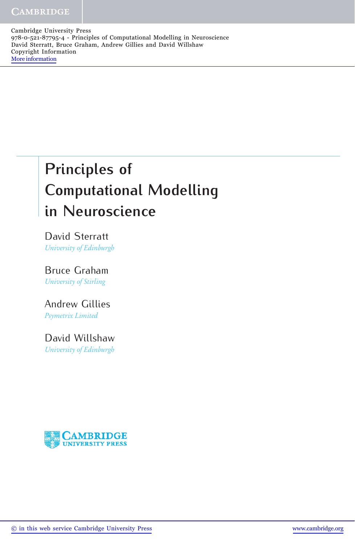Cambridge University Press 978-0-521-87795-4 - Principles of Computational Modelling in Neuroscience David Sterratt, Bruce Graham, Andrew Gillies and David Willshaw Copyright Information [More information](http://www.cambridge.org/9780521877954)

## **Principles of Computational Modelling in Neuroscience**

David Sterratt *University of Edinburgh*

Bruce Graham *University of Stirling*

Andrew Gillies *Psymetrix Limited*

David Willshaw *University of Edinburgh*